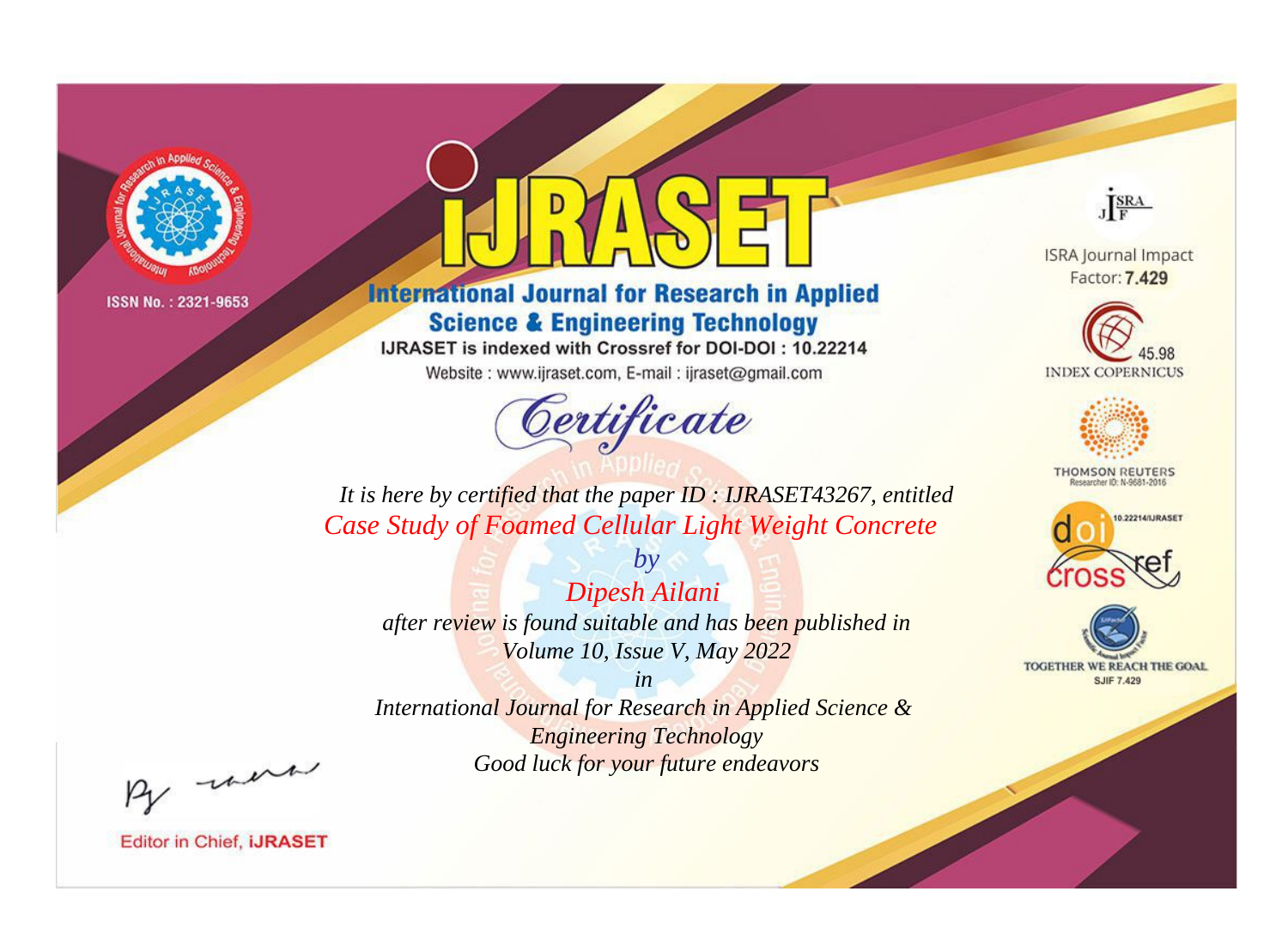

# **International Journal for Research in Applied Science & Engineering Technology**

IJRASET is indexed with Crossref for DOI-DOI: 10.22214

Website: www.ijraset.com, E-mail: ijraset@gmail.com



JERA

**ISRA Journal Impact** Factor: 7.429





**THOMSON REUTERS** 



TOGETHER WE REACH THE GOAL **SJIF 7.429** 

*It is here by certified that the paper ID : IJRASET43267, entitled Case Study of Foamed Cellular Light Weight Concrete*

*by Dipesh Ailani after review is found suitable and has been published in Volume 10, Issue V, May 2022*

*in* 

*International Journal for Research in Applied Science & Engineering Technology Good luck for your future endeavors*

By morn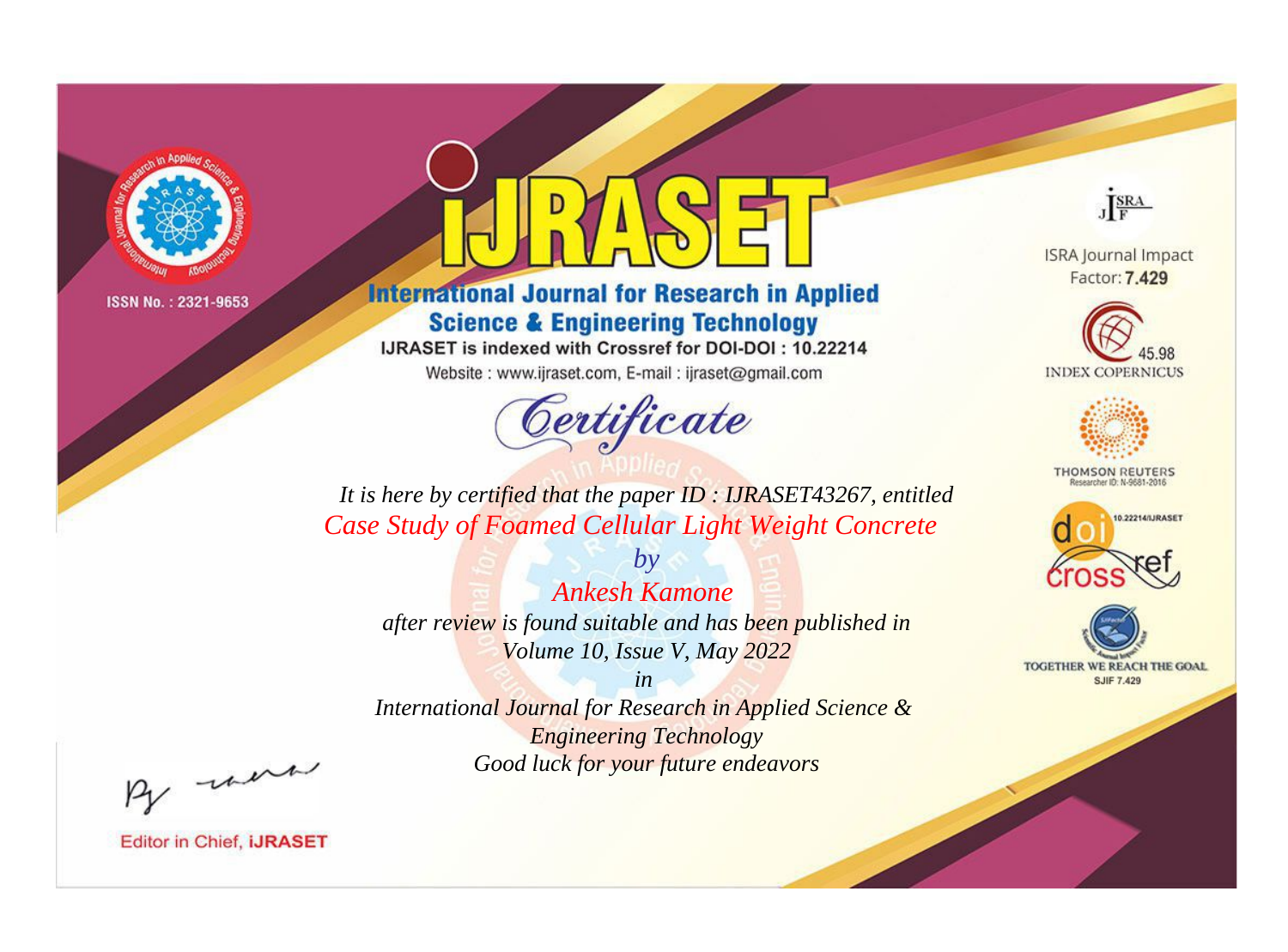

# **International Journal for Research in Applied Science & Engineering Technology**

IJRASET is indexed with Crossref for DOI-DOI: 10.22214

Website: www.ijraset.com, E-mail: ijraset@gmail.com



JERA

**ISRA Journal Impact** Factor: 7.429





**THOMSON REUTERS** 



TOGETHER WE REACH THE GOAL **SJIF 7.429** 

*It is here by certified that the paper ID : IJRASET43267, entitled Case Study of Foamed Cellular Light Weight Concrete*

*Ankesh Kamone after review is found suitable and has been published in Volume 10, Issue V, May 2022*

*by*

*in* 

*International Journal for Research in Applied Science & Engineering Technology Good luck for your future endeavors*

By morn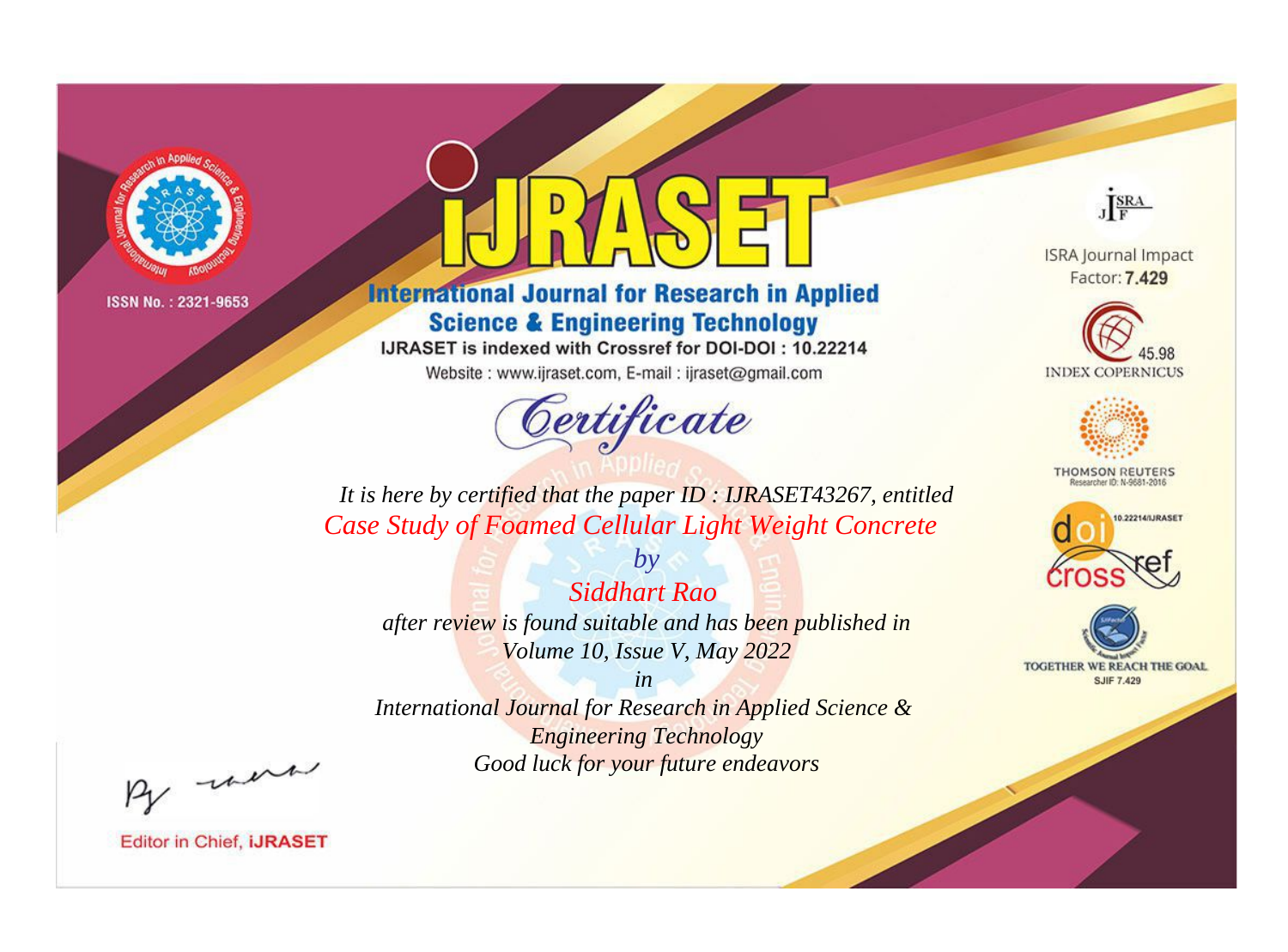

# **International Journal for Research in Applied Science & Engineering Technology**

IJRASET is indexed with Crossref for DOI-DOI: 10.22214

Website: www.ijraset.com, E-mail: ijraset@gmail.com



JERA

**ISRA Journal Impact** Factor: 7.429





**THOMSON REUTERS** 



TOGETHER WE REACH THE GOAL **SJIF 7.429** 

*It is here by certified that the paper ID : IJRASET43267, entitled Case Study of Foamed Cellular Light Weight Concrete*

*by Siddhart Rao after review is found suitable and has been published in Volume 10, Issue V, May 2022*

*in* 

*International Journal for Research in Applied Science & Engineering Technology Good luck for your future endeavors*

By morn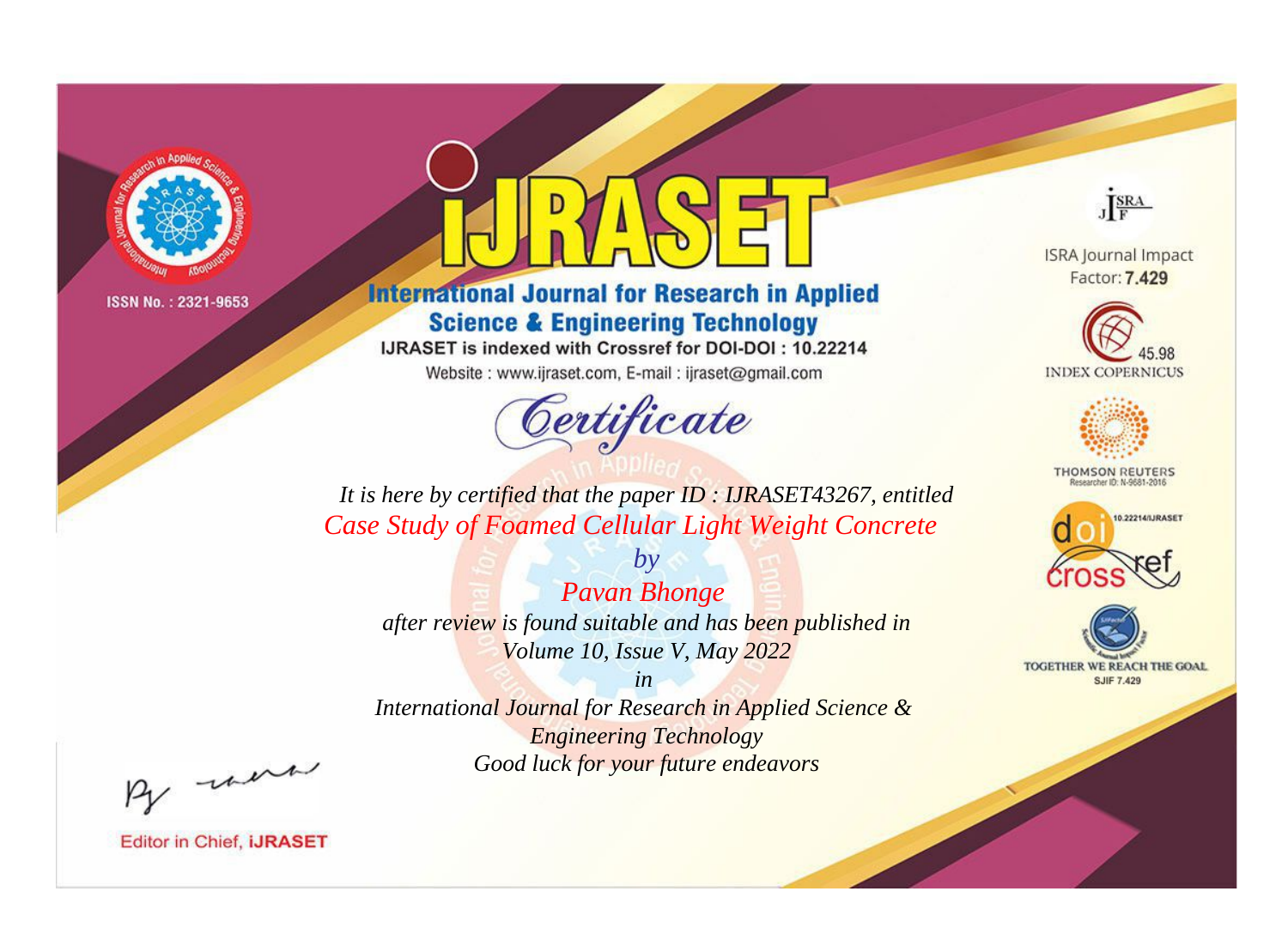

# **International Journal for Research in Applied Science & Engineering Technology**

IJRASET is indexed with Crossref for DOI-DOI: 10.22214

Website: www.ijraset.com, E-mail: ijraset@gmail.com



JERA

**ISRA Journal Impact** Factor: 7.429





**THOMSON REUTERS** 



TOGETHER WE REACH THE GOAL **SJIF 7.429** 

*It is here by certified that the paper ID : IJRASET43267, entitled Case Study of Foamed Cellular Light Weight Concrete*

*Pavan Bhonge after review is found suitable and has been published in Volume 10, Issue V, May 2022*

*by*

*in* 

*International Journal for Research in Applied Science & Engineering Technology Good luck for your future endeavors*

By morn